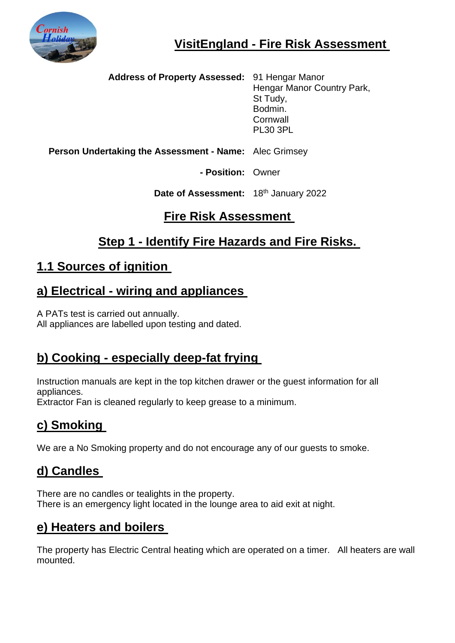

 **Address of Property Assessed:** 91 Hengar Manor Hengar Manor Country Park, St Tudy, Bodmin. **Cornwall** PL30 3PL

**Person Undertaking the Assessment - Name:** Alec Grimsey

**- Position:** Owner

**Date of Assessment:** 18th January 2022

### **Fire Risk Assessment**

# **Step 1 - Identify Fire Hazards and Fire Risks.**

# **1.1 Sources of ignition**

#### **a) Electrical - wiring and appliances**

A PATs test is carried out annually. All appliances are labelled upon testing and dated.

# **b) Cooking - especially deep-fat frying**

Instruction manuals are kept in the top kitchen drawer or the guest information for all appliances.

Extractor Fan is cleaned regularly to keep grease to a minimum.

# **c) Smoking**

We are a No Smoking property and do not encourage any of our guests to smoke.

# **d) Candles**

There are no candles or tealights in the property. There is an emergency light located in the lounge area to aid exit at night.

# **e) Heaters and boilers**

The property has Electric Central heating which are operated on a timer. All heaters are wall mounted.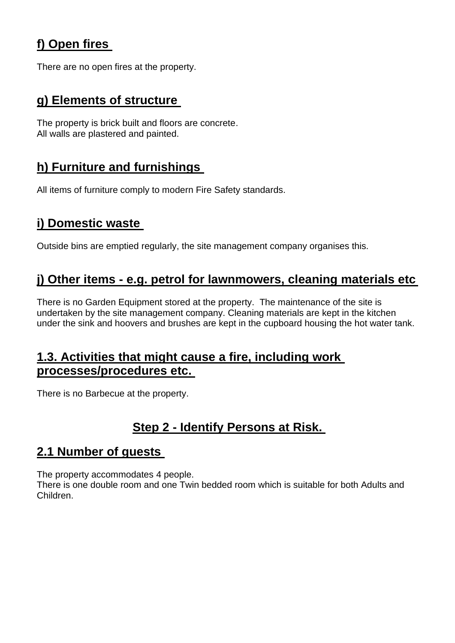# **f) Open fires**

There are no open fires at the property.

### **g) Elements of structure**

The property is brick built and floors are concrete. All walls are plastered and painted.

# **h) Furniture and furnishings**

All items of furniture comply to modern Fire Safety standards.

# **i) Domestic waste**

Outside bins are emptied regularly, the site management company organises this.

### **j) Other items - e.g. petrol for lawnmowers, cleaning materials etc**

There is no Garden Equipment stored at the property. The maintenance of the site is undertaken by the site management company. Cleaning materials are kept in the kitchen under the sink and hoovers and brushes are kept in the cupboard housing the hot water tank.

#### **1.3. Activities that might cause a fire, including work processes/procedures etc.**

There is no Barbecue at the property.

# **Step 2 - Identify Persons at Risk.**

#### **2.1 Number of guests**

The property accommodates 4 people.

There is one double room and one Twin bedded room which is suitable for both Adults and Children.